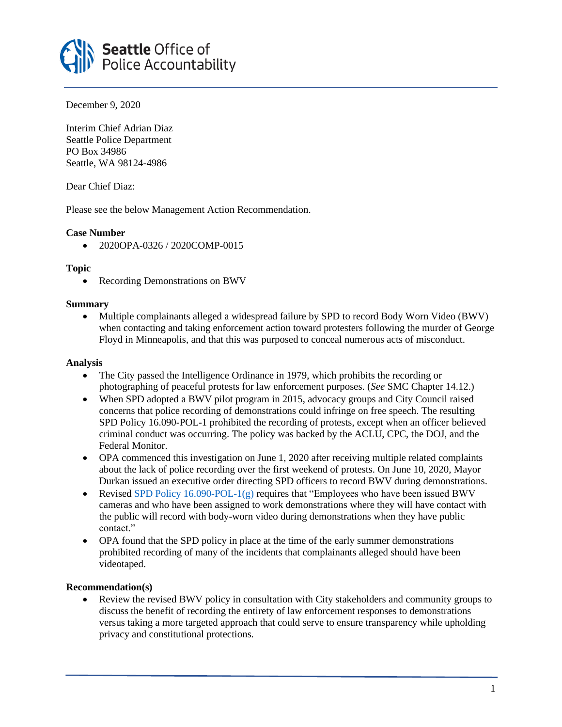

December 9, 2020

Interim Chief Adrian Diaz Seattle Police Department PO Box 34986 Seattle, WA 98124-4986

Dear Chief Diaz:

Please see the below Management Action Recommendation.

## **Case Number**

• 2020OPA-0326 / 2020COMP-0015

## **Topic**

• Recording Demonstrations on BWV

#### **Summary**

• Multiple complainants alleged a widespread failure by SPD to record Body Worn Video (BWV) when contacting and taking enforcement action toward protesters following the murder of George Floyd in Minneapolis, and that this was purposed to conceal numerous acts of misconduct.

### **Analysis**

- The City passed the Intelligence Ordinance in 1979, which prohibits the recording or photographing of peaceful protests for law enforcement purposes. (*See* SMC Chapter 14.12.)
- When SPD adopted a BWV pilot program in 2015, advocacy groups and City Council raised concerns that police recording of demonstrations could infringe on free speech. The resulting SPD Policy 16.090-POL-1 prohibited the recording of protests, except when an officer believed criminal conduct was occurring. The policy was backed by the ACLU, CPC, the DOJ, and the Federal Monitor.
- OPA commenced this investigation on June 1, 2020 after receiving multiple related complaints about the lack of police recording over the first weekend of protests. On June 10, 2020, Mayor Durkan issued an executive order directing SPD officers to record BWV during demonstrations.
- Revised SPD Policy 16.090-POL-1 $(g)$  requires that "Employees who have been issued BWV cameras and who have been assigned to work demonstrations where they will have contact with the public will record with body-worn video during demonstrations when they have public contact."
- OPA found that the SPD policy in place at the time of the early summer demonstrations prohibited recording of many of the incidents that complainants alleged should have been videotaped.

# **Recommendation(s)**

• Review the revised BWV policy in consultation with City stakeholders and community groups to discuss the benefit of recording the entirety of law enforcement responses to demonstrations versus taking a more targeted approach that could serve to ensure transparency while upholding privacy and constitutional protections.